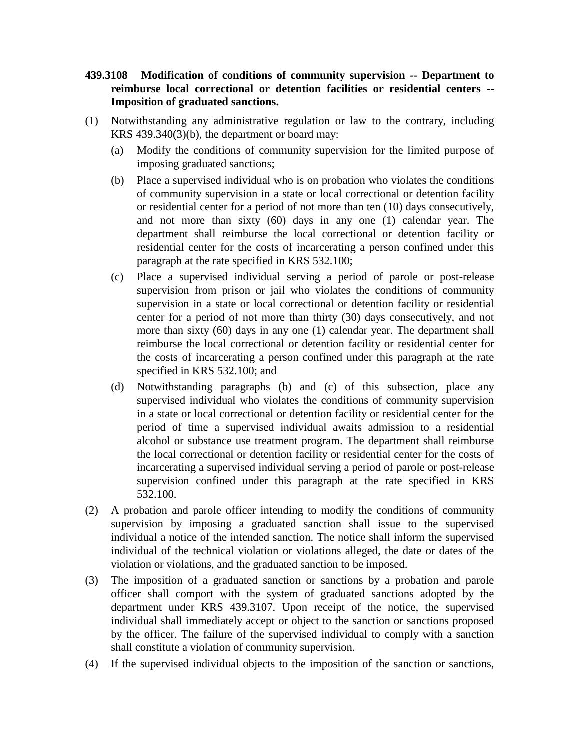## **439.3108 Modification of conditions of community supervision -- Department to reimburse local correctional or detention facilities or residential centers -- Imposition of graduated sanctions.**

- (1) Notwithstanding any administrative regulation or law to the contrary, including KRS 439.340(3)(b), the department or board may:
	- (a) Modify the conditions of community supervision for the limited purpose of imposing graduated sanctions;
	- (b) Place a supervised individual who is on probation who violates the conditions of community supervision in a state or local correctional or detention facility or residential center for a period of not more than ten (10) days consecutively, and not more than sixty (60) days in any one (1) calendar year. The department shall reimburse the local correctional or detention facility or residential center for the costs of incarcerating a person confined under this paragraph at the rate specified in KRS 532.100;
	- (c) Place a supervised individual serving a period of parole or post-release supervision from prison or jail who violates the conditions of community supervision in a state or local correctional or detention facility or residential center for a period of not more than thirty (30) days consecutively, and not more than sixty (60) days in any one (1) calendar year. The department shall reimburse the local correctional or detention facility or residential center for the costs of incarcerating a person confined under this paragraph at the rate specified in KRS 532.100; and
	- (d) Notwithstanding paragraphs (b) and (c) of this subsection, place any supervised individual who violates the conditions of community supervision in a state or local correctional or detention facility or residential center for the period of time a supervised individual awaits admission to a residential alcohol or substance use treatment program. The department shall reimburse the local correctional or detention facility or residential center for the costs of incarcerating a supervised individual serving a period of parole or post-release supervision confined under this paragraph at the rate specified in KRS 532.100.
- (2) A probation and parole officer intending to modify the conditions of community supervision by imposing a graduated sanction shall issue to the supervised individual a notice of the intended sanction. The notice shall inform the supervised individual of the technical violation or violations alleged, the date or dates of the violation or violations, and the graduated sanction to be imposed.
- (3) The imposition of a graduated sanction or sanctions by a probation and parole officer shall comport with the system of graduated sanctions adopted by the department under KRS 439.3107. Upon receipt of the notice, the supervised individual shall immediately accept or object to the sanction or sanctions proposed by the officer. The failure of the supervised individual to comply with a sanction shall constitute a violation of community supervision.
- (4) If the supervised individual objects to the imposition of the sanction or sanctions,